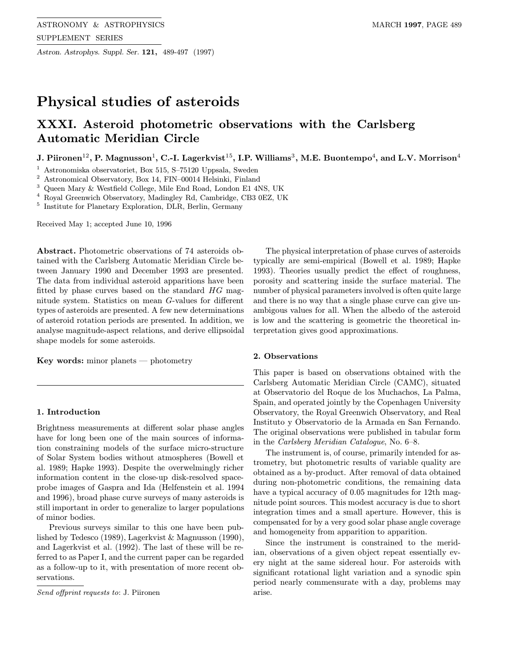Astron. Astrophys. Suppl. Ser. 121, 489-497 (1997)

# Physical studies of asteroids

## XXXI. Asteroid photometric observations with the Carlsberg Automatic Meridian Circle

J. Piironen<sup>12</sup>, P. Magnusson<sup>1</sup>, C.-I. Lagerkvist<sup>15</sup>, I.P. Williams<sup>3</sup>, M.E. Buontempo<sup>4</sup>, and L.V. Morrison<sup>4</sup>

<sup>1</sup> Astronomiska observatoriet, Box 515, S–75120 Uppsala, Sweden

<sup>2</sup> Astronomical Observatory, Box 14, FIN–00014 Helsinki, Finland

<sup>3</sup> Queen Mary & Westfield College, Mile End Road, London E1 4NS, UK

<sup>4</sup> Royal Greenwich Observatory, Madingley Rd, Cambridge, CB3 0EZ, UK

<sup>5</sup> Institute for Planetary Exploration, DLR, Berlin, Germany

Received May 1; accepted June 10, 1996

Abstract. Photometric observations of 74 asteroids obtained with the Carlsberg Automatic Meridian Circle between January 1990 and December 1993 are presented. The data from individual asteroid apparitions have been fitted by phase curves based on the standard  $HG$  magnitude system. Statistics on mean G-values for different types of asteroids are presented. A few new determinations of asteroid rotation periods are presented. In addition, we analyse magnitude-aspect relations, and derive ellipsoidal shape models for some asteroids.

Key words: minor planets — photometry

## 1. Introduction

Brightness measurements at different solar phase angles have for long been one of the main sources of information constraining models of the surface micro-structure of Solar System bodies without atmospheres (Bowell et al. 1989; Hapke 1993). Despite the overwelmingly richer information content in the close-up disk-resolved spaceprobe images of Gaspra and Ida (Helfenstein et al. 1994 and 1996), broad phase curve surveys of many asteroids is still important in order to generalize to larger populations of minor bodies.

Previous surveys similar to this one have been published by Tedesco (1989), Lagerkvist & Magnusson (1990), and Lagerkvist et al. (1992). The last of these will be referred to as Paper I, and the current paper can be regarded as a follow-up to it, with presentation of more recent observations.

Send offprint requests to: J. Piironen

The physical interpretation of phase curves of asteroids typically are semi-empirical (Bowell et al. 1989; Hapke 1993). Theories usually predict the effect of roughness, porosity and scattering inside the surface material. The number of physical parameters involved is often quite large and there is no way that a single phase curve can give unambigous values for all. When the albedo of the asteroid is low and the scattering is geometric the theoretical interpretation gives good approximations.

## 2. Observations

This paper is based on observations obtained with the Carlsberg Automatic Meridian Circle (CAMC), situated at Observatorio del Roque de los Muchachos, La Palma, Spain, and operated jointly by the Copenhagen University Observatory, the Royal Greenwich Observatory, and Real Instituto y Observatorio de la Armada en San Fernando. The original observations were published in tabular form in the Carlsberg Meridian Catalogue, No. 6–8.

The instrument is, of course, primarily intended for astrometry, but photometric results of variable quality are obtained as a by-product. After removal of data obtained during non-photometric conditions, the remaining data have a typical accuracy of 0.05 magnitudes for 12th magnitude point sources. This modest accuracy is due to short integration times and a small aperture. However, this is compensated for by a very good solar phase angle coverage and homogeneity from apparition to apparition.

Since the instrument is constrained to the meridian, observations of a given object repeat essentially every night at the same sidereal hour. For asteroids with significant rotational light variation and a synodic spin period nearly commensurate with a day, problems may arise.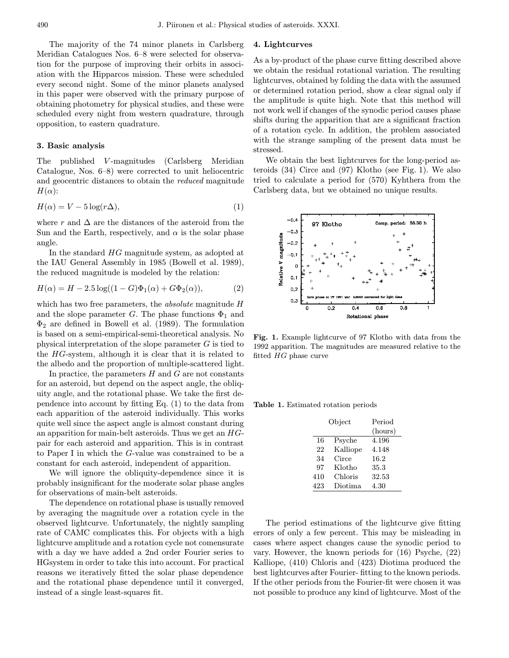The majority of the 74 minor planets in Carlsberg Meridian Catalogues Nos. 6–8 were selected for observation for the purpose of improving their orbits in association with the Hipparcos mission. These were scheduled every second night. Some of the minor planets analysed in this paper were observed with the primary purpose of obtaining photometry for physical studies, and these were scheduled every night from western quadrature, through opposition, to eastern quadrature.

### 3. Basic analysis

The published V-magnitudes (Carlsberg Meridian Catalogue, Nos. 6–8) were corrected to unit heliocentric and geocentric distances to obtain the reduced magnitude  $H(\alpha)$ :

$$
H(\alpha) = V - 5\log(r\Delta),\tag{1}
$$

where r and  $\Delta$  are the distances of the asteroid from the Sun and the Earth, respectively, and  $\alpha$  is the solar phase angle.

In the standard HG magnitude system, as adopted at the IAU General Assembly in 1985 (Bowell et al. 1989), the reduced magnitude is modeled by the relation:

$$
H(\alpha) = H - 2.5 \log((1 - G)\Phi_1(\alpha) + G\Phi_2(\alpha)),
$$
 (2)

which has two free parameters, the *absolute* magnitude H and the slope parameter G. The phase functions  $\Phi_1$  and  $\Phi_2$  are defined in Bowell et al. (1989). The formulation is based on a semi-empirical-semi-theoretical analysis. No physical interpretation of the slope parameter G is tied to the HG-system, although it is clear that it is related to the albedo and the proportion of multiple-scattered light.

In practice, the parameters  $H$  and  $G$  are not constants for an asteroid, but depend on the aspect angle, the obliquity angle, and the rotational phase. We take the first dependence into account by fitting Eq. (1) to the data from each apparition of the asteroid individually. This works quite well since the aspect angle is almost constant during an apparition for main-belt asteroids. Thus we get an HGpair for each asteroid and apparition. This is in contrast to Paper I in which the G-value was constrained to be a constant for each asteroid, independent of apparition.

We will ignore the obliquity-dependence since it is probably insignificant for the moderate solar phase angles for observations of main-belt asteroids.

The dependence on rotational phase is usually removed by averaging the magnitude over a rotation cycle in the observed lightcurve. Unfortunately, the nightly sampling rate of CAMC complicates this. For objects with a high lightcurve amplitude and a rotation cycle not comensurate with a day we have added a 2nd order Fourier series to HGsystem in order to take this into account. For practical reasons we iteratively fitted the solar phase dependence and the rotational phase dependence until it converged, instead of a single least-squares fit.

## 4. Lightcurves

As a by-product of the phase curve fitting described above we obtain the residual rotational variation. The resulting lightcurves, obtained by folding the data with the assumed or determined rotation period, show a clear signal only if the amplitude is quite high. Note that this method will not work well if changes of the synodic period causes phase shifts during the apparition that are a significant fraction of a rotation cycle. In addition, the problem associated with the strange sampling of the present data must be stressed.

We obtain the best lightcurves for the long-period asteroids (34) Circe and (97) Klotho (see Fig. 1). We also tried to calculate a period for (570) Kyhthera from the Carlsberg data, but we obtained no unique results.



Fig. 1. Example lightcurve of 97 Klotho with data from the 1992 apparition. The magnitudes are measured relative to the fitted HG phase curve

Table 1. Estimated rotation periods

|     | Object   | Period<br>(hours) |
|-----|----------|-------------------|
| 16  | Psyche   | 4.196             |
| 22  | Kalliope | 4.148             |
| 34  | Circe    | 16.2              |
| 97  | Klotho   | 35.3              |
| 410 | Chloris  | 32.53             |
| 423 | Diotima  | 4.30              |

The period estimations of the lightcurve give fitting errors of only a few percent. This may be misleading in cases where aspect changes cause the synodic period to vary. However, the known periods for (16) Psyche, (22) Kalliope, (410) Chloris and (423) Diotima produced the best lightcurves after Fourier- fitting to the known periods. If the other periods from the Fourier-fit were chosen it was not possible to produce any kind of lightcurve. Most of the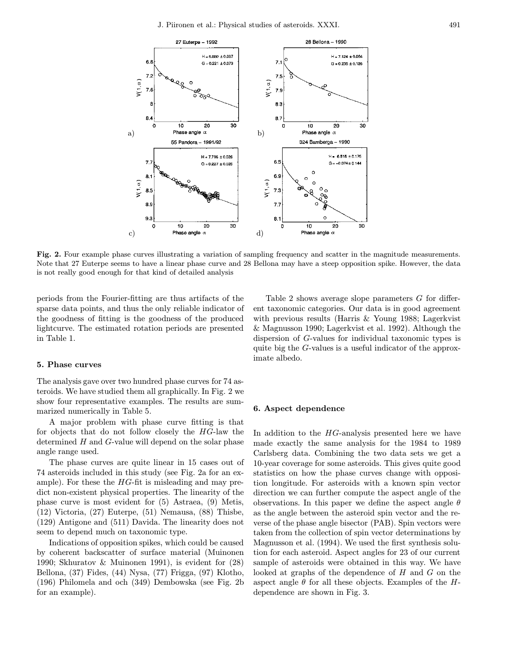

Fig. 2. Four example phase curves illustrating a variation of sampling frequency and scatter in the magnitude measurements. Note that 27 Euterpe seems to have a linear phase curve and 28 Bellona may have a steep opposition spike. However, the data is not really good enough for that kind of detailed analysis

periods from the Fourier-fitting are thus artifacts of the sparse data points, and thus the only reliable indicator of the goodness of fitting is the goodness of the produced lightcurve. The estimated rotation periods are presented in Table 1.

#### 5. Phase curves

The analysis gave over two hundred phase curves for 74 asteroids. We have studied them all graphically. In Fig. 2 we show four representative examples. The results are summarized numerically in Table 5.

A major problem with phase curve fitting is that for objects that do not follow closely the HG-law the determined  $H$  and  $G$ -value will depend on the solar phase angle range used.

The phase curves are quite linear in 15 cases out of 74 asteroids included in this study (see Fig. 2a for an example). For these the  $HG$ -fit is misleading and may predict non-existent physical properties. The linearity of the phase curve is most evident for (5) Astraea, (9) Metis, (12) Victoria, (27) Euterpe, (51) Nemausa, (88) Thisbe, (129) Antigone and (511) Davida. The linearity does not seem to depend much on taxonomic type.

Indications of opposition spikes, which could be caused by coherent backscatter of surface material (Muinonen 1990; Skhuratov & Muinonen 1991), is evident for (28) Bellona, (37) Fides, (44) Nysa, (77) Frigga, (97) Klotho, (196) Philomela and och (349) Dembowska (see Fig. 2b for an example).

Table 2 shows average slope parameters G for different taxonomic categories. Our data is in good agreement with previous results (Harris & Young 1988; Lagerkvist & Magnusson 1990; Lagerkvist et al. 1992). Although the dispersion of G-values for individual taxonomic types is quite big the G-values is a useful indicator of the approximate albedo.

## 6. Aspect dependence

In addition to the HG-analysis presented here we have made exactly the same analysis for the 1984 to 1989 Carlsberg data. Combining the two data sets we get a 10-year coverage for some asteroids. This gives quite good statistics on how the phase curves change with opposition longitude. For asteroids with a known spin vector direction we can further compute the aspect angle of the observations. In this paper we define the aspect angle  $\theta$ as the angle between the asteroid spin vector and the reverse of the phase angle bisector (PAB). Spin vectors were taken from the collection of spin vector determinations by Magnusson et al. (1994). We used the first synthesis solution for each asteroid. Aspect angles for 23 of our current sample of asteroids were obtained in this way. We have looked at graphs of the dependence of  $H$  and  $G$  on the aspect angle  $\theta$  for all these objects. Examples of the Hdependence are shown in Fig. 3.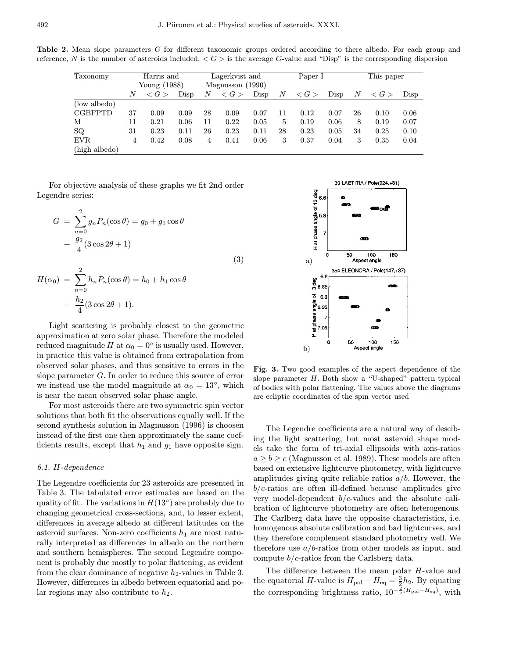Table 2. Mean slope parameters G for different taxonomic groups ordered according to there albedo. For each group and reference, N is the number of asteroids included,  $\langle G \rangle$  is the average G-value and "Disp" is the corresponding dispersion

| Taxonomy      | Harris and   |                     | Lagerkvist and     |    | Paper I             |      |    | This paper          |      |    |                     |      |
|---------------|--------------|---------------------|--------------------|----|---------------------|------|----|---------------------|------|----|---------------------|------|
|               | Young (1988) |                     | Magnusson $(1990)$ |    |                     |      |    |                     |      |    |                     |      |
|               | N            | $\langle G \rangle$ | Disp               | N  | $\langle G \rangle$ | Disp | N  | $\langle G \rangle$ | Disp | N  | $\langle G \rangle$ | Disp |
| (low albedo)  |              |                     |                    |    |                     |      |    |                     |      |    |                     |      |
| CGBFPTD       | 37           | 0.09                | 0.09               | 28 | 0.09                | 0.07 | 11 | 0.12                | 0.07 | 26 | 0.10                | 0.06 |
| м             | 11           | 0.21                | 0.06               | 11 | 0.22                | 0.05 | 5  | 0.19                | 0.06 | 8  | 0.19                | 0.07 |
| SQ            | 31           | 0.23                | 0.11               | 26 | 0.23                | 0.11 | 28 | 0.23                | 0.05 | 34 | 0.25                | 0.10 |
| EVR.          | 4            | 0.42                | 0.08               | 4  | 0.41                | 0.06 | 3  | 0.37                | 0.04 | 3  | 0.35                | 0.04 |
| (high albedo) |              |                     |                    |    |                     |      |    |                     |      |    |                     |      |

For objective analysis of these graphs we fit 2nd order Legendre series:

$$
G = \sum_{n=0}^{2} g_n P_n(\cos \theta) = g_0 + g_1 \cos \theta
$$

$$
+ \frac{g_2}{4} (3 \cos 2\theta + 1)
$$

$$
H(\alpha_0) = \sum_{n=0}^{2} h_n P_n(\cos \theta) = h_0 + h_1 \cos \theta
$$

$$
(3)
$$

$$
+\frac{h_2}{4}(3\cos 2\theta+1).
$$

Light scattering is probably closest to the geometric approximation at zero solar phase. Therefore the modeled reduced magnitude H at  $\alpha_0 = 0^\circ$  is usually used. However, in practice this value is obtained from extrapolation from observed solar phases, and thus sensitive to errors in the slope parameter G. In order to reduce this source of error we instead use the model magnitude at  $\alpha_0 = 13^\circ$ , which is near the mean observed solar phase angle.

For most asteroids there are two symmetric spin vector solutions that both fit the observations equally well. If the second synthesis solution in Magnusson (1996) is choosen instead of the first one then approximately the same coefficients results, except that  $h_1$  and  $g_1$  have opposite sign.

## 6.1. H-dependence

The Legendre coefficients for 23 asteroids are presented in Table 3. The tabulated error estimates are based on the quality of fit. The variations in  $H(13°)$  are probably due to changing geometrical cross-sections, and, to lesser extent, differences in average albedo at different latitudes on the asteroid surfaces. Non-zero coefficients  $h_1$  are most naturally interpreted as differences in albedo on the northern and southern hemispheres. The second Legendre component is probably due mostly to polar flattening, as evident from the clear dominance of negative  $h_2$ -values in Table 3. However, differences in albedo between equatorial and polar regions may also contribute to  $h_2$ .



Fig. 3. Two good examples of the aspect dependence of the slope parameter  $H$ . Both show a "U-shaped" pattern typical of bodies with polar flattening. The values above the diagrams are ecliptic coordinates of the spin vector used

The Legendre coefficients are a natural way of descibing the light scattering, but most asteroid shape models take the form of tri-axial ellipsoids with axis-ratios  $a > b > c$  (Magnusson et al. 1989). These models are often based on extensive lightcurve photometry, with lightcurve amplitudes giving quite reliable ratios  $a/b$ . However, the  $b/c$ -ratios are often ill-defined because amplitudes give very model-dependent  $b/c$ -values and the absolute calibration of lightcurve photometry are often heterogenous. The Carlberg data have the opposite characteristics, i.e. homogenous absolute calibration and bad lightcurves, and they therefore complement standard photometry well. We therefore use  $a/b$ -ratios from other models as input, and compute b/c-ratios from the Carlsberg data.

The difference between the mean polar H-value and the equatorial H-value is  $H_{\text{pol}} - H_{\text{eq}} = \frac{3}{2}h_2$ . By equating the corresponding brightness ratio,  $10^{-\frac{2}{5}(H_{\text{pol}}-H_{\text{eq}})}$ , with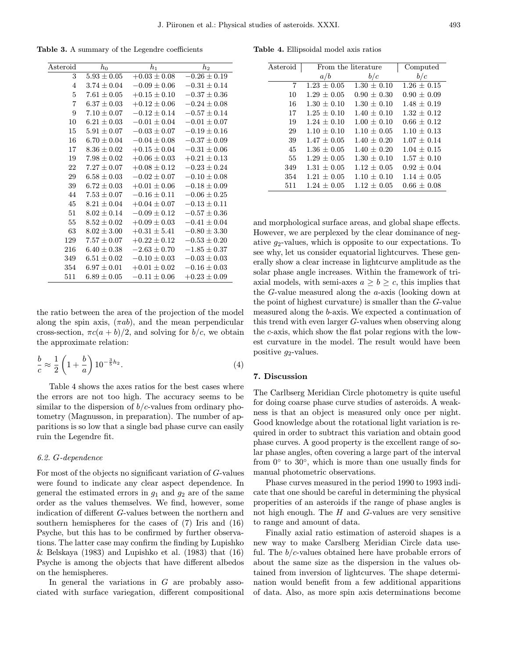Table 3. A summary of the Legendre coefficients

| Asteroid       | $h_0$           | $h_1$            | $h_2$            |
|----------------|-----------------|------------------|------------------|
| 3              | $5.93 \pm 0.05$ | $+0.03 \pm 0.08$ | $-0.26 \pm 0.19$ |
| 4              | $3.74 \pm 0.04$ | $-0.09 \pm 0.06$ | $-0.31 \pm 0.14$ |
| $\overline{5}$ | $7.61 \pm 0.05$ | $+0.15 \pm 0.10$ | $-0.37\pm0.36$   |
| $\overline{7}$ | $6.37 \pm 0.03$ | $+0.12 \pm 0.06$ | $-0.24 \pm 0.08$ |
| 9              | $7.10 \pm 0.07$ | $-0.12 \pm 0.14$ | $-0.57 \pm 0.14$ |
| 10             | $6.21 + 0.03$   | $-0.01 \pm 0.04$ | $-0.01 \pm 0.07$ |
| 15             | $5.91 \pm 0.07$ | $-0.03 \pm 0.07$ | $-0.19 \pm 0.16$ |
| 16             | $6.70 \pm 0.04$ | $-0.04 \pm 0.08$ | $-0.37 \pm 0.09$ |
| 17             | $8.36 + 0.02$   | $+0.15 + 0.04$   | $-0.31 + 0.06$   |
| 19             | $7.98 \pm 0.02$ | $+0.06 \pm 0.03$ | $+0.21 \pm 0.13$ |
| 22             | $7.27 \pm 0.07$ | $+0.08 \pm 0.12$ | $-0.23 \pm 0.24$ |
| 29             | $6.58 \pm 0.03$ | $-0.02 \pm 0.07$ | $-0.10 \pm 0.08$ |
| 39             | $6.72 \pm 0.03$ | $+0.01 \pm 0.06$ | $-0.18 \pm 0.09$ |
| 44             | $7.53\pm0.07$   | $-0.16 \pm 0.11$ | $-0.06 \pm 0.25$ |
| 45             | $8.21 \pm 0.04$ | $+0.04 \pm 0.07$ | $-0.13 \pm 0.11$ |
| 51             | $8.02 + 0.14$   | $-0.09 \pm 0.12$ | $-0.57 \pm 0.36$ |
| 55             | $8.52\pm0.02$   | $+0.09 \pm 0.03$ | $-0.41 \pm 0.04$ |
| 63             | $8.02 \pm 3.00$ | $+0.31 \pm 5.41$ | $-0.80 \pm 3.30$ |
| 129            | $7.57 \pm 0.07$ | $+0.22 \pm 0.12$ | $-0.53 \pm 0.20$ |
| 216            | $6.40 \pm 0.38$ | $-2.63 \pm 0.70$ | $-1.85 \pm 0.37$ |
| 349            | $6.51 \pm 0.02$ | $-0.10 \pm 0.03$ | $-0.03 \pm 0.03$ |
| 354            | $6.97\pm0.01$   | $+0.01 \pm 0.02$ | $-0.16 \pm 0.03$ |
| 511            | $6.89\pm0.05$   | $-0.11 \pm 0.06$ | $+0.23 \pm 0.09$ |

the ratio between the area of the projection of the model along the spin axis,  $(\pi ab)$ , and the mean perpendicular cross-section,  $\pi c(a + b)/2$ , and solving for  $b/c$ , we obtain the approximate relation:

$$
\frac{b}{c} \approx \frac{1}{2} \left( 1 + \frac{b}{a} \right) 10^{-\frac{3}{5}h_2}.
$$
\n
$$
(4)
$$

Table 4 shows the axes ratios for the best cases where the errors are not too high. The accuracy seems to be similar to the dispersion of  $b/c$ -values from ordinary photometry (Magnusson, in preparation). The number of apparitions is so low that a single bad phase curve can easily ruin the Legendre fit.

### 6.2. G-dependence

For most of the objects no significant variation of G-values were found to indicate any clear aspect dependence. In general the estimated errors in  $g_1$  and  $g_2$  are of the same order as the values themselves. We find, however, some indication of different G-values between the northern and southern hemispheres for the cases of (7) Iris and (16) Psyche, but this has to be confirmed by further observations. The latter case may confirm the finding by Lupishko & Belskaya (1983) and Lupishko et al. (1983) that (16) Psyche is among the objects that have different albedos on the hemispheres.

In general the variations in  $G$  are probably associated with surface variegation, different compositional

Table 4. Ellipsoidal model axis ratios

| Asteroid | From the literature | Computed        |                 |
|----------|---------------------|-----------------|-----------------|
|          | a/b                 | b/c             | b/c             |
| 7        | $1.23 \pm 0.05$     | $1.30 + 0.10$   | $1.26 \pm 0.15$ |
| 10       | $1.29 + 0.05$       | $0.90 + 0.30$   | $0.90 + 0.09$   |
| 16       | $1.30 \pm 0.10$     | $1.30 \pm 0.10$ | $1.48 \pm 0.19$ |
| 17       | $1.25 + 0.10$       | $1.40 + 0.10$   | $1.32 + 0.12$   |
| 19       | $1.24 + 0.10$       | $1.00 + 0.10$   | $0.66 + 0.12$   |
| 29       | $1.10 + 0.10$       | $1.10 \pm 0.05$ | $1.10 + 0.13$   |
| 39       | $1.47 + 0.05$       | $1.40 + 0.20$   | $1.07 \pm 0.14$ |
| 45       | $1.36 + 0.05$       | $1.40 + 0.20$   | $1.04 + 0.15$   |
| 55       | $1.29 + 0.05$       | $1.30 \pm 0.10$ | $1.57 + 0.10$   |
| 349      | $1.31 + 0.05$       | $1.12 + 0.05$   | $0.92 + 0.04$   |
| 354      | $1.21 \pm 0.05$     | $1.10 + 0.10$   | $1.14 + 0.05$   |
| 511      | $1.24 + 0.05$       | $1.12 + 0.05$   | $0.66 + 0.08$   |

and morphological surface areas, and global shape effects. However, we are perplexed by the clear dominance of negative  $g_2$ -values, which is opposite to our expectations. To see why, let us consider equatorial lightcurves. These generally show a clear increase in lightcurve amplitude as the solar phase angle increases. Within the framework of triaxial models, with semi-axes  $a \geq b \geq c$ , this implies that the G-value measured along the a-axis (looking down at the point of highest curvature) is smaller than the G-value measured along the b-axis. We expected a continuation of this trend with even larger G-values when observing along the c-axis, which show the flat polar regions with the lowest curvature in the model. The result would have been positive  $g_2$ -values.

#### 7. Discussion

The Carlbserg Meridian Circle photometry is quite useful for doing coarse phase curve studies of asteroids. A weakness is that an object is measured only once per night. Good knowledge about the rotational light variation is required in order to subtract this variation and obtain good phase curves. A good property is the excellent range of solar phase angles, often covering a large part of the interval from  $0°$  to  $30°$ , which is more than one usually finds for manual photometric observations.

Phase curves measured in the period 1990 to 1993 indicate that one should be careful in determining the physical properities of an asteroids if the range of phase angles is not high enough. The  $H$  and  $G$ -values are very sensitive to range and amount of data.

Finally axial ratio estimation of asteroid shapes is a new way to make Carslberg Meridian Circle data useful. The  $b/c$ -values obtained here have probable errors of about the same size as the dispersion in the values obtained from inversion of lightcurves. The shape determination would benefit from a few additional apparitions of data. Also, as more spin axis determinations become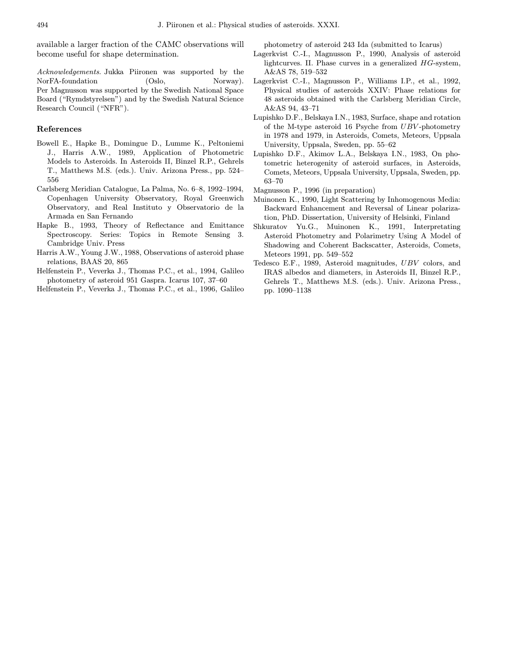available a larger fraction of the CAMC observations will become useful for shape determination.

Acknowledgements. Jukka Piironen was supported by the NorFA-foundation (Oslo, Norway). Per Magnusson was supported by the Swedish National Space Board ("Rymdstyrelsen") and by the Swedish Natural Science Research Council ("NFR").

## References

- Bowell E., Hapke B., Domingue D., Lumme K., Peltoniemi J., Harris A.W., 1989, Application of Photometric Models to Asteroids. In Asteroids II, Binzel R.P., Gehrels T., Matthews M.S. (eds.). Univ. Arizona Press., pp. 524– 556
- Carlsberg Meridian Catalogue, La Palma, No. 6–8, 1992–1994, Copenhagen University Observatory, Royal Greenwich Observatory, and Real Instituto y Observatorio de la Armada en San Fernando
- Hapke B., 1993, Theory of Reflectance and Emittance Spectroscopy. Series: Topics in Remote Sensing 3. Cambridge Univ. Press
- Harris A.W., Young J.W., 1988, Observations of asteroid phase relations, BAAS 20, 865
- Helfenstein P., Veverka J., Thomas P.C., et al., 1994, Galileo photometry of asteroid 951 Gaspra. Icarus 107, 37–60
- Helfenstein P., Veverka J., Thomas P.C., et al., 1996, Galileo

photometry of asteroid 243 Ida (submitted to Icarus)

- Lagerkvist C.-I., Magnusson P., 1990, Analysis of asteroid lightcurves. II. Phase curves in a generalized HG-system, A&AS 78, 519–532
- Lagerkvist C.-I., Magnusson P., Williams I.P., et al., 1992, Physical studies of asteroids XXIV: Phase relations for 48 asteroids obtained with the Carlsberg Meridian Circle, A&AS 94, 43–71
- Lupishko D.F., Belskaya I.N., 1983, Surface, shape and rotation of the M-type asteroid 16 Psyche from UBV -photometry in 1978 and 1979, in Asteroids, Comets, Meteors, Uppsala University, Uppsala, Sweden, pp. 55–62
- Lupishko D.F., Akimov L.A., Belskaya I.N., 1983, On photometric heterogenity of asteroid surfaces, in Asteroids, Comets, Meteors, Uppsala University, Uppsala, Sweden, pp. 63–70
- Magnusson P., 1996 (in preparation)
- Muinonen K., 1990, Light Scattering by Inhomogenous Media: Backward Enhancement and Reversal of Linear polarization, PhD. Dissertation, University of Helsinki, Finland
- Shkuratov Yu.G., Muinonen K., 1991, Interpretating Asteroid Photometry and Polarimetry Using A Model of Shadowing and Coherent Backscatter, Asteroids, Comets, Meteors 1991, pp. 549–552
- Tedesco E.F., 1989, Asteroid magnitudes, UBV colors, and IRAS albedos and diameters, in Asteroids II, Binzel R.P., Gehrels T., Matthews M.S. (eds.). Univ. Arizona Press., pp. 1090–1138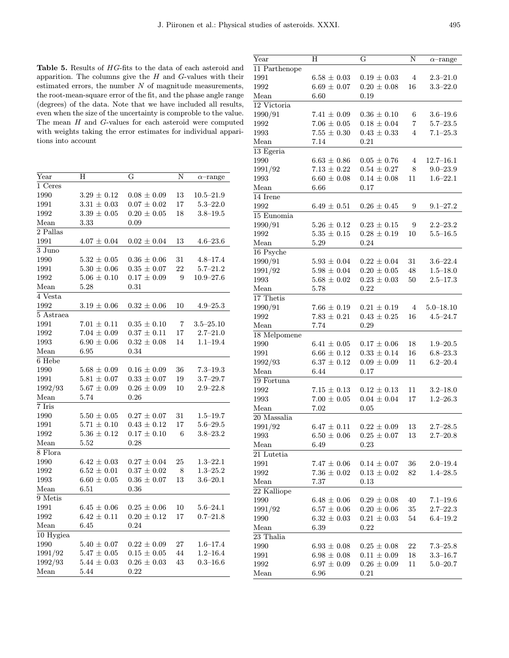Table 5. Results of HG-fits to the data of each asteroid and apparition. The columns give the  $H$  and  $G$ -values with their estimated errors, the number  $N$  of magnitude measurements, the root-mean-square error of the fit, and the phase angle range (degrees) of the data. Note that we have included all results, even when the size of the uncertainty is comproble to the value. The mean H and G-values for each asteroid were computed with weights taking the error estimates for individual apparitions into account

| Year        | Н               | G               | N  | $\alpha$ -range |
|-------------|-----------------|-----------------|----|-----------------|
| 1 Ceres     |                 |                 |    |                 |
| 1990        | $3.29 \pm 0.12$ | $0.08 \pm 0.09$ | 13 | $10.5 - 21.9$   |
| 1991        | $3.31 \pm 0.03$ | $0.07 \pm 0.02$ | 17 | $5.3 - 22.0$    |
| 1992        | $3.39 \pm 0.05$ | $0.20 \pm 0.05$ | 18 | $3.8 - 19.5$    |
| Mean        | 3.33            | 0.09            |    |                 |
| 2 Pallas    |                 |                 |    |                 |
| 1991        | $4.07 \pm 0.04$ | $0.02 \pm 0.04$ | 13 | $4.6 - 23.6$    |
| 3 Juno      |                 |                 |    |                 |
| 1990        | $5.32 \pm 0.05$ | $0.36 \pm 0.06$ | 31 | $4.8 - 17.4$    |
| 1991        | $5.30 \pm 0.06$ | $0.35 \pm 0.07$ | 22 | $5.7 - 21.2$    |
| 1992        | $5.06 \pm 0.10$ | $0.17 \pm 0.09$ | 9  | $10.9 - 27.6$   |
| Mean        | 5.28            | 0.31            |    |                 |
| 4 Vesta     |                 |                 |    |                 |
| 1992        | $3.19 \pm 0.06$ | $0.32 \pm 0.06$ | 10 | $4.9 - 25.3$    |
| 5 Astraea   |                 |                 |    |                 |
| 1991        | $7.01 \pm 0.11$ | $0.35 \pm 0.10$ | 7  | $3.5 - 25.10$   |
| 1992        | $7.04 \pm 0.09$ | $0.37 \pm 0.11$ | 17 | $2.7 - 21.0$    |
| 1993        | $6.90 \pm 0.06$ | $0.32 \pm 0.08$ | 14 | $1.1 - 19.4$    |
| Mean        | 6.95            | 0.34            |    |                 |
| 6 Hebe      |                 |                 |    |                 |
| 1990        | $5.68 \pm 0.09$ | $0.16 \pm 0.09$ | 36 | $7.3 - 19.3$    |
| 1991        | $5.81 \pm 0.07$ | $0.33 \pm 0.07$ | 19 | $3.7 - 29.7$    |
| 1992/93     | $5.67 \pm 0.09$ | $0.26 \pm 0.09$ | 10 | $2.9 - 22.8$    |
| Mean        | 5.74            | 0.26            |    |                 |
| 7 Iris      |                 |                 |    |                 |
| 1990        | $5.50 \pm 0.05$ | $0.27 \pm 0.07$ | 31 | $1.5 - 19.7$    |
| 1991        | $5.71 \pm 0.10$ | $0.43 \pm 0.12$ | 17 | $5.6 - 29.5$    |
| 1992        | $5.36 \pm 0.12$ | $0.17 \pm 0.10$ | 6  | $3.8 - 23.2$    |
| Mean        | 5.52            | 0.28            |    |                 |
| 8 Flora     |                 |                 |    |                 |
| 1990        | $6.42 \pm 0.03$ | $0.27 \pm 0.04$ | 25 | $1.3 - 22.1$    |
| 1992        | $6.52 \pm 0.01$ | $0.37 \pm 0.02$ | 8  | $1.3 - 25.2$    |
| 1993        | $6.60 \pm 0.05$ | $0.36 \pm 0.07$ | 13 | $3.6 - 20.1$    |
| Mean        | $6.51\,$        | 0.36            |    |                 |
| 9 Metis     |                 |                 |    |                 |
| 1991        | $6.45 \pm 0.06$ | $0.25 \pm 0.06$ | 10 | $5.6 - 24.1$    |
| 1992        | $6.42 \pm 0.11$ | $0.20 \pm 0.12$ | 17 | $0.7 - 21.8$    |
| Mean        | 6.45            | 0.24            |    |                 |
| $10$ Hygiea |                 |                 |    |                 |
| 1990        | $5.40 \pm 0.07$ | $0.22 \pm 0.09$ | 27 | $1.6 - 17.4$    |
| 1991/92     | $5.47 \pm 0.05$ | $0.15 \pm 0.05$ | 44 | $1.2 - 16.4$    |
| 1992/93     | $5.44 \pm 0.03$ | $0.26 \pm 0.03$ | 43 | $0.3 - 16.6$    |
| Mean        | 5.44            | 0.22            |    |                 |
|             |                 |                 |    |                 |

| $\operatorname{Year}$ | H                 | G               | N      |                              |
|-----------------------|-------------------|-----------------|--------|------------------------------|
|                       |                   |                 |        | $\alpha$ -range              |
| 11 Parthenope         |                   |                 |        |                              |
| 1991                  | $6.58\pm0.03$     | $0.19 \pm 0.03$ | 4      | $2.3 - 21.0$                 |
| 1992                  | $6.69\pm0.07$     | $0.20 \pm 0.08$ | 16     | $3.3 - 22.0$                 |
| Mean                  | $6.60\,$          | 0.19            |        |                              |
| 12 Victoria           |                   |                 |        |                              |
| 1990/91               | $7.41 \pm 0.09$   | $0.36 \pm 0.10$ | 6      | $3.6 - 19.6$                 |
| 1992                  | $7.06 \pm 0.05$   | $0.18 \pm 0.04$ | 7      | $5.7 - 23.5$                 |
| 1993                  | $7.55\pm0.30$     | $0.43 \pm 0.33$ | 4      | $7.1 - 25.3$                 |
| Mean                  | 7.14              | 0.21            |        |                              |
| $13$ Egeria           |                   |                 |        |                              |
| 1990                  | $6.63 \pm 0.86$   | $0.05 \pm 0.76$ | 4      | $12.7 - 16.1$                |
| 1991/92               | $7.13 \pm 0.22$   | $0.54 \pm 0.27$ | 8      | $9.0 - 23.9$                 |
| 1993                  | $6.60 \pm 0.08$   | $0.14 \pm 0.08$ | 11     | $1.6 - 22.1$                 |
| Mean                  | 6.66              | 0.17            |        |                              |
| 14 Irene              |                   |                 |        |                              |
| 1992                  | $6.49 \pm 0.51$   | $0.26 \pm 0.45$ | 9      | $9.1 - 27.2$                 |
| 15 Eunomia            |                   |                 |        |                              |
| 1990/91               | $5.26 \pm 0.12$   | $0.23 \pm 0.15$ | 9      | $2.2\text{--}23.2$           |
| 1992                  | $5.35 \pm 0.15$   | $0.28 \pm 0.19$ | 10     | $5.5 - 16.5$                 |
| Mean                  | 5.29              | 0.24            |        |                              |
| 16 Psyche             |                   |                 |        |                              |
| 1990/91               | $5.93 \pm 0.04$   | $0.22 \pm 0.04$ | 31     | $3.6 - 22.4$                 |
| 1991/92               | $5.98 \pm 0.04$   | $0.20 \pm 0.05$ | 48     | $1.5 - 18.0$                 |
| 1993                  |                   | $0.23 \pm 0.03$ | 50     | $2.5 - 17.3$                 |
|                       | $5.68 \pm 0.02$   |                 |        |                              |
| Mean                  | 5.78              | 0.22            |        |                              |
| 17 Thetis             |                   |                 |        |                              |
| 1990/91               | $7.66 \pm 0.19$   | $0.21 \pm 0.19$ | 4      | $5.0 - 18.10$                |
| 1992                  | $7.83 \pm 0.21$   | $0.43 \pm 0.25$ | 16     | $4.5\hbox{--}24.7$           |
| Mean                  | 7.74              | 0.29            |        |                              |
| 18 Melpomene          |                   |                 |        |                              |
| 1990                  | $6.41\pm0.05$     | $0.17 \pm 0.06$ | 18     | $1.9 - 20.5$                 |
| 1991                  | $6.66 \pm 0.12$   | $0.33 \pm 0.14$ | 16     | $6.8 - 23.3$                 |
| 1992/93               | $6.37 \pm 0.12$   | $0.09 \pm 0.09$ | 11     | $6.2 - 20.4$                 |
| Mean                  | 6.44              | 0.17            |        |                              |
| 19 Fortuna            |                   |                 |        |                              |
| 1992                  | $7.15 \pm 0.13$   | $0.12 \pm 0.13$ | 11     | $3.2 - 18.0$                 |
| 1993                  | $7.00 \pm 0.05$   | $0.04 \pm 0.04$ | 17     | $1.2 - 26.3$                 |
| Mean                  | 7.02              | 0.05            |        |                              |
| 20 Massalia           |                   |                 |        |                              |
| 1991/92               | $6.47 \pm 0.11$   | $0.22 \pm 0.09$ | 13     | $2.7 - 28.5$                 |
| 1993                  | $6.50 \pm 0.06$   | $0.25 \pm 0.07$ | 13     | $2.7 - 20.8$                 |
| Mean                  | 6.49              | 0.23            |        |                              |
| 21 Lutetia            |                   |                 |        |                              |
| 1991                  | $7.47\pm0.06$     | $0.14 \pm 0.07$ | 36     | $2.0 - 19.4$                 |
| 1992                  | $7.36 \pm 0.02$   | $0.13 \pm 0.02$ | 82     | $1.4 - 28.5$                 |
| Mean                  | 7.37              | 0.13            |        |                              |
| 22 Kalliope           |                   |                 |        |                              |
| 1990                  | $6.48\,\pm\,0.06$ | $0.29 \pm 0.08$ | 40     |                              |
|                       | $6.57 \pm 0.06$   |                 |        | $7.1 - 19.6$<br>$2.7 - 22.3$ |
| 1991/92               |                   | $0.20 \pm 0.06$ | $35\,$ |                              |
| 1990                  | $6.32 \pm 0.03$   | $0.21 \pm 0.03$ | 54     | $6.4 - 19.2$                 |
| Mean                  | 6.39              | 0.22            |        |                              |
| 23 Thalia             |                   |                 |        |                              |
| 1990                  | $6.93 \pm 0.08$   | $0.25 \pm 0.08$ | 22     | $7.3 - 25.8$                 |
| 1991                  | $6.98 \pm 0.08$   | $0.11 \pm 0.09$ | 18     | $3.3 - 16.7$                 |
| 1992                  | $6.97 \pm 0.09$   | $0.26 \pm 0.09$ | 11     | $5.0 - 20.7$                 |
| Mean                  | 6.96              | 0.21            |        |                              |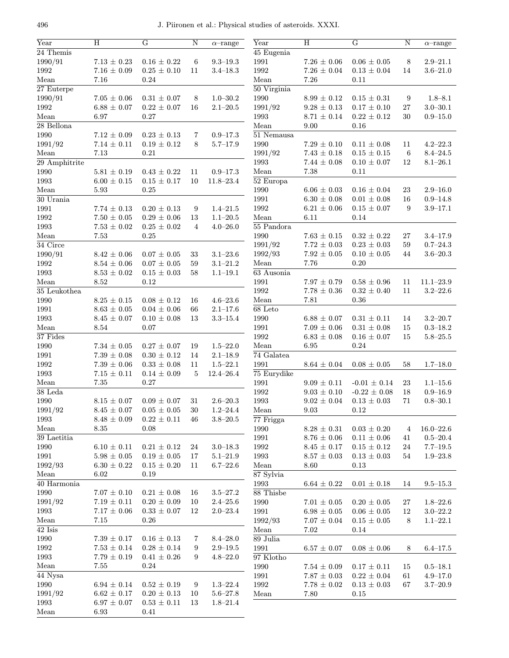| Year           | H                 | G                 | $\mathbf N$    | $\alpha$ -range | Year                  | $\, {\rm H}$      | G                 | $\mathbf N$     | $\alpha$ -range    |
|----------------|-------------------|-------------------|----------------|-----------------|-----------------------|-------------------|-------------------|-----------------|--------------------|
| $24$ Themis    |                   |                   |                |                 | 45 Eugenia            |                   |                   |                 |                    |
| 1990/91        | $7.13 \pm 0.23$   | $0.16 \pm 0.22$   | 6              | $9.3 - 19.3$    | 1991                  | $7.26\,\pm\,0.06$ | $0.06 \pm 0.05$   | 8               | $2.9 - 21.1$       |
| 1992           | $7.16 \pm 0.09$   | $0.25 \pm 0.10$   | 11             | $3.4 - 18.3$    | 1992                  | $7.26 \pm 0.04$   | $0.13 \pm 0.04$   | 14              | $3.6 - 21.0$       |
| Mean           | 7.16              | 0.24              |                |                 | Mean                  | 7.26              | 0.11              |                 |                    |
| 27 Euterpe     |                   |                   |                |                 | $50 \text{ Virginia}$ |                   |                   |                 |                    |
| 1990/91        | $7.05\,\pm\,0.06$ | $0.31 \pm 0.07$   | 8              | $1.0 - 30.2$    | 1990                  | $8.99 \pm 0.12$   | $0.15 \pm 0.31$   | 9               | $1.8 - 8.1$        |
| 1992           | $6.88 \pm 0.07$   | $0.22 \pm 0.07$   | 16             | $2.1 - 20.5$    | 1991/92               | $9.28\,\pm\,0.13$ | $0.17 \pm 0.10$   | $27\,$          | $3.0 - 30.1$       |
| Mean           | 6.97              | 0.27              |                |                 | 1993                  | $8.71 \pm 0.14$   | $0.22 \pm 0.12$   | 30              | $0.9 - 15.0$       |
| $28$ Bellona   |                   |                   |                |                 | Mean                  | 9.00              | 0.16              |                 |                    |
| 1990           | $7.12\,\pm\,0.09$ | $0.23 \pm 0.13$   | 7              | $0.9 - 17.3$    | $51$ Nemausa          |                   |                   |                 |                    |
| 1991/92        | $7.14 \pm 0.11$   | $0.19 \pm 0.12$   | 8              | $5.7 - 17.9$    | 1990                  | $7.29 \pm 0.10$   | $0.11 \pm 0.08$   | 11              | $4.2 - 22.3$       |
| Mean           | 7.13              | 0.21              |                |                 | 1991/92               | $7.43 \pm 0.18$   | $0.15 \pm 0.15$   | $6\phantom{.}6$ | $8.4 - 24.5$       |
| 29 Amphitrite  |                   |                   |                |                 | 1993                  | $7.44 \pm 0.08$   | $0.10 \pm 0.07$   | 12              | $8.1 - 26.1$       |
| 1990           | $5.81 \pm 0.19$   | $0.43 \pm 0.22$   | 11             | $0.9 - 17.3$    | Mean                  | 7.38              | 0.11              |                 |                    |
| 1993           | $6.00 \pm 0.15$   | $0.15 \pm 0.17$   | 10             | $11.8 - 23.4$   | 52 Europa             |                   |                   |                 |                    |
| Mean           | 5.93              | 0.25              |                |                 | 1990                  | $6.06 \pm 0.03$   | $0.16 \pm 0.04$   | 23              | $2.9 - 16.0$       |
| 30 Urania      |                   |                   |                |                 | 1991                  | $6.30 \pm 0.08$   | $0.01 \pm 0.08$   | 16              | $0.9 - 14.8$       |
| 1991           | $7.74 \pm 0.13$   | $0.20 \pm 0.13$   | 9              | $1.4 - 21.5$    | 1992                  | $6.21 \pm 0.06$   | $0.15 \pm 0.07$   | 9               | $3.9 - 17.1$       |
| 1992           | $7.50\,\pm\,0.05$ | $0.29\,\pm\,0.06$ | 13             | $1.1 - 20.5$    | Mean                  | 6.11              | 0.14              |                 |                    |
| 1993           | $7.53 \pm 0.02$   | $0.25 \pm 0.02$   | $\overline{4}$ | $4.0 - 26.0$    | 55 Pandora            |                   |                   |                 |                    |
| Mean           | 7.53              | 0.25              |                |                 | 1990                  | $7.63 \pm 0.15$   | $0.32 \pm 0.22$   | 27              | $3.4 - 17.9$       |
| $34$ Circe     |                   |                   |                |                 | 1991/92               | $7.72 \pm 0.03$   | $0.23 \pm 0.03$   | $59\,$          | $0.7 - 24.3$       |
| 1990/91        | $8.42 \pm 0.06$   | $0.07 \pm 0.05$   | 33             | $3.1 - 23.6$    | 1992/93               | $7.92 \pm 0.05$   | $0.10 \pm 0.05$   | 44              | $3.6 - 20.3$       |
| 1992           | $8.54 \pm 0.06$   | $0.07 \pm 0.05$   | $59\,$         | $3.1 - 21.2$    | Mean                  | 7.76              | 0.20              |                 |                    |
| 1993           | $8.53 \pm 0.02$   | $0.15 \pm 0.03$   | 58             | $1.1 - 19.1$    | $63$ Ausonia          |                   |                   |                 |                    |
| Mean           | 8.52              | 0.12              |                |                 | 1991                  | $7.97 \pm 0.79$   | $0.58 \pm 0.96$   | 11              | $11.1 - 23.9$      |
| $35$ Leukothea |                   |                   |                |                 | 1992                  | $7.78\,\pm\,0.36$ | $0.32 \pm 0.40$   | 11              | $3.2\!\!-\!\!22.6$ |
| 1990           | $8.25 \pm 0.15$   | $0.08 \pm 0.12$   | 16             | $4.6 - 23.6$    | Mean                  | 7.81              | 0.36              |                 |                    |
| 1991           | $8.63 \pm 0.05$   | $0.04 \pm 0.06$   | 66             | $2.1 - 17.6$    | $68$ Leto             |                   |                   |                 |                    |
| 1993           | $8.45 \pm 0.07$   | $0.10 \pm 0.08$   | 13             | $3.3 - 15.4$    | 1990                  | $6.88 \pm 0.07$   | $0.31 \pm 0.11$   | 14              | $3.2\!\!-\!\!20.7$ |
| Mean           | 8.54              | 0.07              |                |                 | 1991                  | $7.09 \pm 0.06$   | $0.31\,\pm\,0.08$ | 15              | $0.3 - 18.2$       |
| 37 Fides       |                   |                   |                |                 | 1992                  | $6.83 \pm 0.08$   | $0.16 \pm 0.07$   | 15              | $5.8 - 25.5$       |
| 1990           | $7.34\,\pm\,0.05$ | $0.27 \pm 0.07$   | 19             | $1.5 - 22.0$    | Mean                  | 6.95              | 0.24              |                 |                    |
| 1991           | $7.39 \pm 0.08$   | $0.30 \pm 0.12$   | 14             | $2.1 - 18.9$    | $74$ Galatea          |                   |                   |                 |                    |
| 1992           | $7.39 \pm 0.06$   | $0.33 \pm 0.08$   | 11             | $1.5 - 22.1$    | 1991                  | $8.64\,\pm\,0.04$ | $0.08 \pm 0.05$   | 58              | $1.7 - 18.0$       |
| 1993           | $7.15 \pm 0.11$   | $0.14 \pm 0.09$   | 5              | $12.4 - 26.4$   | 75 Eurydike           |                   |                   |                 |                    |
| Mean           | 7.35              | $0.27\,$          |                |                 | 1991                  | $9.09 \pm 0.11$   | $-0.01 \pm 0.14$  | 23              | $1.1 - 15.6$       |
| $38$ Leda      |                   |                   |                |                 | 1992                  | $9.03 \pm 0.10$   | $-0.22 \pm 0.08$  | 18              | $0.9 - 16.9$       |
| 1990           | $8.15 \pm 0.07$   | $0.09 \pm 0.07$   | 31             | $2.6 - 20.3$    | 1993                  | $9.02 \pm 0.04$   | $0.13 \pm 0.03$   | 71              | $0.8 - 30.1$       |
| 1991/92        | $8.45\,\pm\,0.07$ | $0.05\,\pm\,0.05$ | $30\,$         | $1.2 - 24.4$    | ${\it Mean}$          | $\ \, 9.03$       | 0.12              |                 |                    |
| 1993           | $8.48 \pm 0.09$   | $0.22 \pm 0.11$   | 46             | $3.8 - 20.5$    | 77 Frigga             |                   |                   |                 |                    |
| Mean           | 8.35              | 0.08              |                |                 | 1990                  | $8.28 \pm 0.31$   | $0.03 \pm 0.20$   | 4               | $16.0 - 22.6$      |
| 39 Laetitia    |                   |                   |                |                 | 1991                  | $8.76\,\pm\,0.06$ | $0.11\,\pm\,0.06$ | 41              | $0.5 - 20.4$       |
| 1990           | $6.10 \pm 0.11$   | $0.21 \pm 0.12$   | 24             | $3.0 - 18.3$    | 1992                  | $8.45 \pm 0.17$   | $0.15\,\pm\,0.12$ | 24              | $7.7 - 19.5$       |
| 1991           | $5.98\,\pm\,0.05$ | $0.19 \pm 0.05$   | 17             | $5.1 - 21.9$    | 1993                  | $8.57 \pm 0.03$   | $0.13 \pm 0.03$   | 54              | $1.9 - 23.8$       |
| 1992/93        | $6.30 \pm 0.22$   | $0.15 \pm 0.20$   | 11             | $6.7 - 22.6$    | Mean                  | 8.60              | 0.13              |                 |                    |
| Mean           | 6.02              | 0.19              |                |                 | 87 Sylvia             |                   |                   |                 |                    |
| 40 Harmonia    |                   |                   |                |                 | 1993                  | $6.64 \pm 0.22$   | $0.01 \pm 0.18$   | 14              | $9.5 - 15.3$       |
| 1990           | $7.07 \pm 0.10$   | $0.21 \pm 0.08$   | 16             | $3.5 - 27.2$    | 88 Thisbe             |                   |                   |                 |                    |
| 1991/92        | $7.19 \pm 0.11$   | $0.20 \pm 0.09$   | 10             | $2.4 - 25.6$    | 1990                  | $7.01 \pm 0.05$   | $0.20\,\pm\,0.05$ | 27              | $1.8 - 22.6$       |
| 1993           | $7.17 \pm 0.06$   | $0.33 \pm 0.07$   | 12             | $2.0 - 23.4$    | 1991                  | $6.98 \pm 0.05$   | $0.06 \pm 0.05$   | $12\,$          | $3.0 - 22.2$       |
| Mean           | 7.15              | 0.26              |                |                 | 1992/93               | $7.07 \pm 0.04$   | $0.15 \pm 0.05$   | 8               | $1.1 - 22.1$       |
| 42 Isis        |                   |                   |                |                 | Mean                  | 7.02              | 0.14              |                 |                    |
| 1990           | $7.39 \pm 0.17$   | $0.16 \pm 0.13$   | 7              | $8.4 - 28.0$    | 89 Julia              |                   |                   |                 |                    |
| 1992           | $7.53 \pm 0.14$   | $0.28 \pm 0.14$   | 9              | $2.9 - 19.5$    | 1991                  | $6.57 \pm 0.07$   | $0.08\,\pm\,0.06$ | 8               | $6.4 - 17.5$       |
| 1993           | $7.79 \pm 0.19$   | $0.41 \pm 0.26$   | 9              | $4.8 - 22.0$    | $97$ Klotho           |                   |                   |                 |                    |
| Mean           | 7.55              | 0.24              |                |                 | 1990                  | $7.54 \pm 0.09$   | $0.17 \pm 0.11$   | 15              | $0.5 - 18.1$       |
| 44 Nysa        |                   |                   |                |                 | 1991                  | $7.87 \pm 0.03$   | $0.22 \pm 0.04$   | 61              | $4.9 - 17.0$       |
| 1990           | $6.94 \pm 0.14$   | $0.52 \pm 0.19$   | 9              | $1.3 - 22.4$    | 1992                  | $7.78 \pm 0.02$   | $0.13 \pm 0.03$   | 67              | $3.7 - 20.9$       |
| 1991/92        | $6.62 \pm 0.17$   | $0.20 \pm 0.13$   | 10             | $5.6 - 27.8$    | Mean                  | 7.80              | $0.15\,$          |                 |                    |
| 1993           | $6.97 \pm 0.07$   | $0.53 \pm 0.11$   | 13             | $1.8 - 21.4$    |                       |                   |                   |                 |                    |
| Mean           | 6.93              | 0.41              |                |                 |                       |                   |                   |                 |                    |